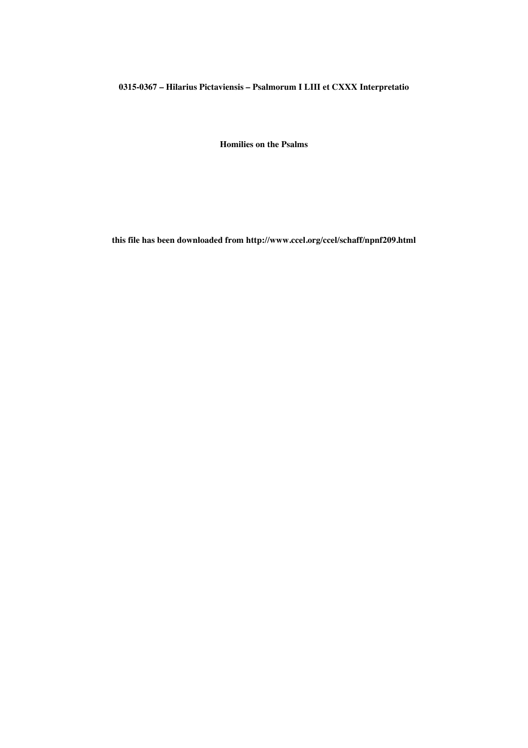#### **0315-0367 – Hilarius Pictaviensis – Psalmorum I LIII et CXXX Interpretatio**

**Homilies on the Psalms**

**this file has been downloaded from http://www.ccel.org/ccel/schaff/npnf209.html**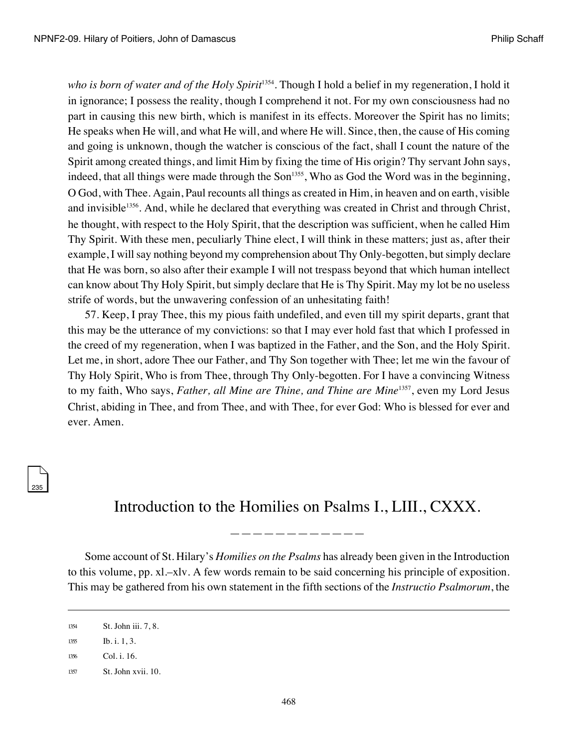who is born of water and of the Holy Spirit<sup>1354</sup>. Though I hold a belief in my regeneration, I hold it in ignorance; I possess the reality, though I comprehend it not. For my own consciousness had no part in causing this new birth, which is manifest in its effects. Moreover the Spirit has no limits; He speaks when He will, and what He will, and where He will. Since, then, the cause of His coming and going is unknown, though the watcher is conscious of the fact, shall I count the nature of the Spirit among created things, and limit Him by fixing the time of His origin? Thy servant John says, indeed, that all things were made through the Son<sup>1355</sup>, Who as God the Word was in the beginning, O God, with Thee. Again, Paul recounts all things as created in Him, in heaven and on earth, visible and invisible<sup>1356</sup>. And, while he declared that everything was created in Christ and through Christ, he thought, with respect to the Holy Spirit, that the description was sufficient, when he called Him Thy Spirit. With these men, peculiarly Thine elect, I will think in these matters; just as, after their example, I will say nothing beyond my comprehension about Thy Only-begotten, but simply declare that He was born, so also after their example I will not trespass beyond that which human intellect can know about Thy Holy Spirit, but simply declare that He is Thy Spirit. May my lot be no useless strife of words, but the unwavering confession of an unhesitating faith!

57. Keep, I pray Thee, this my pious faith undefiled, and even till my spirit departs, grant that this may be the utterance of my convictions: so that I may ever hold fast that which I professed in the creed of my regeneration, when I was baptized in the Father, and the Son, and the Holy Spirit. Let me, in short, adore Thee our Father, and Thy Son together with Thee; let me win the favour of Thy Holy Spirit, Who is from Thee, through Thy Only-begotten. For I have a convincing Witness to my faith, Who says, *Father, all Mine are Thine, and Thine are Mine*1357, even my Lord Jesus Christ, abiding in Thee, and from Thee, and with Thee, for ever God: Who is blessed for ever and ever. Amen.

# [235](http://www.ccel.org/ccel/schaff/npnf209/Page_235.html)

### Introduction to the Homilies on Psalms I., LIII., CXXX.

————————————

Some account of St. Hilary's *Homilies on the Psalms* has already been given in the Introduction to this volume, pp. xl.–xlv. A few words remain to be said concerning his principle of exposition. This may be gathered from his own statement in the fifth sections of the *Instructio Psalmorum*, the

<sup>1354</sup> St. [John iii. 7, 8.](http://www.ccel.org/ccel/bible/asv.John.3.html#John.3.7)

<sup>1355</sup> Ib. i. 1, 3.

<sup>1356</sup> [Col. i. 16.](http://www.ccel.org/ccel/bible/asv.Col.1.html#Col.1.16)

<sup>1357</sup> St. [John xvii. 10.](http://www.ccel.org/ccel/bible/asv.John.17.html#John.17.10)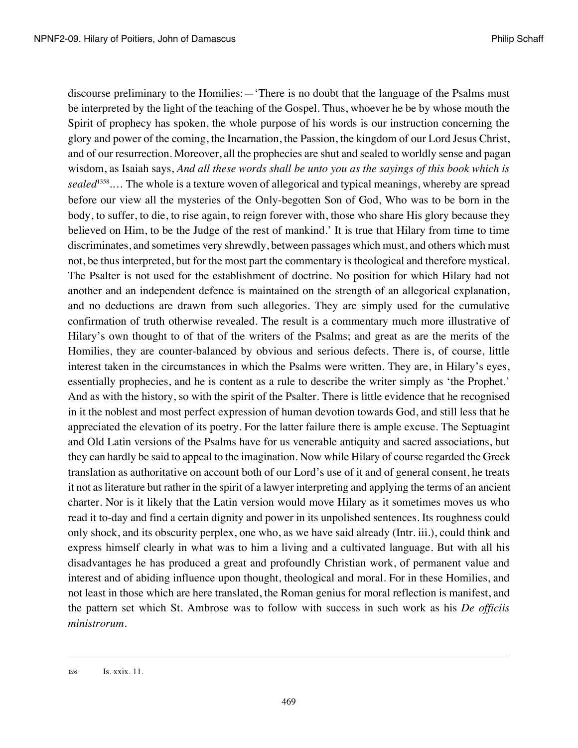discourse preliminary to the Homilies:—'There is no doubt that the language of the Psalms must be interpreted by the light of the teaching of the Gospel. Thus, whoever he be by whose mouth the Spirit of prophecy has spoken, the whole purpose of his words is our instruction concerning the glory and power of the coming, the Incarnation, the Passion, the kingdom of our Lord Jesus Christ, and of our resurrection. Moreover, all the prophecies are shut and sealed to worldly sense and pagan wisdom, as Isaiah says, *And all these words shall be unto you as the sayings of this book which is sealed*1358.… The whole is a texture woven of allegorical and typical meanings, whereby are spread before our view all the mysteries of the Only-begotten Son of God, Who was to be born in the body, to suffer, to die, to rise again, to reign forever with, those who share His glory because they believed on Him, to be the Judge of the rest of mankind.' It is true that Hilary from time to time discriminates, and sometimes very shrewdly, between passages which must, and others which must not, be thus interpreted, but for the most part the commentary is theological and therefore mystical. The Psalter is not used for the establishment of doctrine. No position for which Hilary had not another and an independent defence is maintained on the strength of an allegorical explanation, and no deductions are drawn from such allegories. They are simply used for the cumulative confirmation of truth otherwise revealed. The result is a commentary much more illustrative of Hilary's own thought to of that of the writers of the Psalms; and great as are the merits of the Homilies, they are counter-balanced by obvious and serious defects. There is, of course, little interest taken in the circumstances in which the Psalms were written. They are, in Hilary's eyes, essentially prophecies, and he is content as a rule to describe the writer simply as 'the Prophet.' And as with the history, so with the spirit of the Psalter. There is little evidence that he recognised in it the noblest and most perfect expression of human devotion towards God, and still less that he appreciated the elevation of its poetry. For the latter failure there is ample excuse. The Septuagint and Old Latin versions of the Psalms have for us venerable antiquity and sacred associations, but they can hardly be said to appeal to the imagination. Now while Hilary of course regarded the Greek translation as authoritative on account both of our Lord's use of it and of general consent, he treats it not as literature but rather in the spirit of a lawyer interpreting and applying the terms of an ancient charter. Nor is it likely that the Latin version would move Hilary as it sometimes moves us who read it to-day and find a certain dignity and power in its unpolished sentences. Its roughness could only shock, and its obscurity perplex, one who, as we have said already (Intr. iii.), could think and express himself clearly in what was to him a living and a cultivated language. But with all his disadvantages he has produced a great and profoundly Christian work, of permanent value and interest and of abiding influence upon thought, theological and moral. For in these Homilies, and not least in those which are here translated, the Roman genius for moral reflection is manifest, and the pattern set which St. Ambrose was to follow with success in such work as his *De officiis ministrorum*.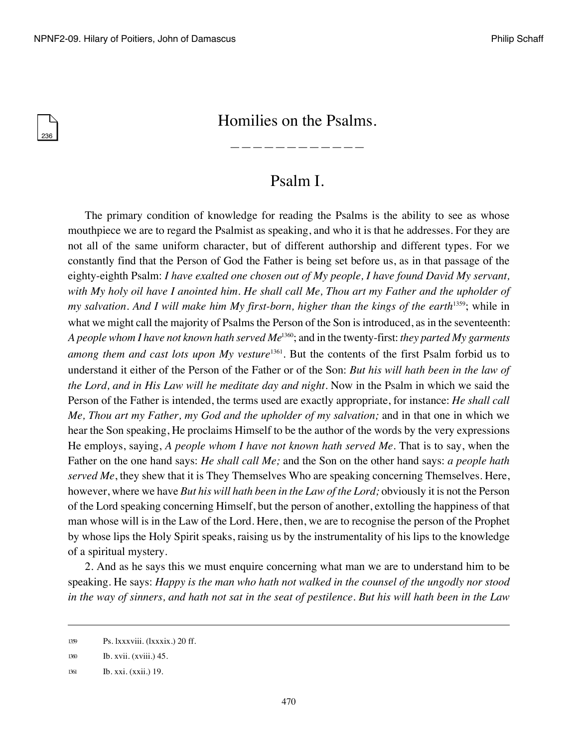#### Homilies on the Psalms.

————————————

#### Psalm I.

The primary condition of knowledge for reading the Psalms is the ability to see as whose mouthpiece we are to regard the Psalmist as speaking, and who it is that he addresses. For they are not all of the same uniform character, but of different authorship and different types. For we constantly find that the Person of God the Father is being set before us, as in that passage of the eighty-eighth Psalm: *I have exalted one chosen out of My people, I have found David My servant, with My holy oil have I anointed him. He shall call Me, Thou art my Father and the upholder of my salvation. And I will make him My first-born, higher than the kings of the earth*<sup>1359</sup>; while in what we might call the majority of Psalms the Person of the Son is introduced, as in the seventeenth: *A people whom I have not known hath served Me*1360; and in the twenty-first: *they parted My garments among them and cast lots upon My vesture*<sup>1361</sup>. But the contents of the first Psalm forbid us to understand it either of the Person of the Father or of the Son: *But his will hath been in the law of the Lord, and in His Law will he meditate day and night*. Now in the Psalm in which we said the Person of the Father is intended, the terms used are exactly appropriate, for instance: *He shall call Me, Thou art my Father, my God and the upholder of my salvation;* and in that one in which we hear the Son speaking, He proclaims Himself to be the author of the words by the very expressions He employs, saying, *A people whom I have not known hath served Me*. That is to say, when the Father on the one hand says: *He shall call Me;* and the Son on the other hand says: *a people hath served Me*, they shew that it is They Themselves Who are speaking concerning Themselves. Here, however, where we have *But his will hath been in the Law of the Lord;* obviously it is not the Person of the Lord speaking concerning Himself, but the person of another, extolling the happiness of that man whose will is in the Law of the Lord. Here, then, we are to recognise the person of the Prophet by whose lips the Holy Spirit speaks, raising us by the instrumentality of his lips to the knowledge of a spiritual mystery.

2. And as he says this we must enquire concerning what man we are to understand him to be speaking. He says: *Happy is the man who hath not walked in the counsel of the ungodly nor stood in the way of sinners, and hath not sat in the seat of pestilence. But his will hath been in the Law*

<sup>1359</sup> [Ps. lxxxviii. \(lxxxix.\) 20](http://www.ccel.org/ccel/bible/asv.Ps.89.html#Ps.89.20) ff.

<sup>1360</sup> [Ib. xvii. \(xviii.\) 45.](http://www.ccel.org/ccel/bible/asv.Ps.18.html#Ps.18.45)

<sup>1361</sup> [Ib. xxi. \(xxii.\) 19.](http://www.ccel.org/ccel/bible/asv.Ps.22.html#Ps.22.19)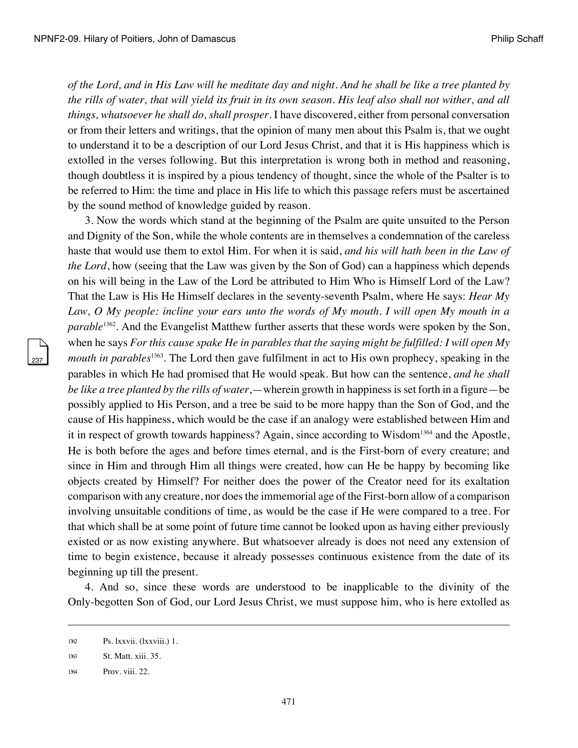*of the Lord, and in His Law will he meditate day and night. And he shall be like a tree planted by the rills of water, that will yield its fruit in its own season. His leaf also shall not wither, and all things, whatsoever he shall do, shall prosper.* I have discovered, either from personal conversation or from their letters and writings, that the opinion of many men about this Psalm is, that we ought to understand it to be a description of our Lord Jesus Christ, and that it is His happiness which is extolled in the verses following. But this interpretation is wrong both in method and reasoning, though doubtless it is inspired by a pious tendency of thought, since the whole of the Psalter is to be referred to Him: the time and place in His life to which this passage refers must be ascertained by the sound method of knowledge guided by reason.

3. Now the words which stand at the beginning of the Psalm are quite unsuited to the Person and Dignity of the Son, while the whole contents are in themselves a condemnation of the careless haste that would use them to extol Him. For when it is said, *and his will hath been in the Law of the Lord*, how (seeing that the Law was given by the Son of God) can a happiness which depends on his will being in the Law of the Lord be attributed to Him Who is Himself Lord of the Law? That the Law is His He Himself declares in the seventy-seventh Psalm, where He says: *Hear My Law, O My people: incline your ears unto the words of My mouth. I will open My mouth in a parable*1362. And the Evangelist Matthew further asserts that these words were spoken by the Son, when he says *For this cause spake He in parables that the saying might be fulfilled: I will open My mouth in parables*<sup>1363</sup>. The Lord then gave fulfilment in act to His own prophecy, speaking in the parables in which He had promised that He would speak. But how can the sentence, *and he shall be like a tree planted by the rills of water*,—wherein growth in happiness is set forth in a figure—be possibly applied to His Person, and a tree be said to be more happy than the Son of God, and the cause of His happiness, which would be the case if an analogy were established between Him and it in respect of growth towards happiness? Again, since according to Wisdom<sup>1364</sup> and the Apostle, He is both before the ages and before times eternal, and is the First-born of every creature; and since in Him and through Him all things were created, how can He be happy by becoming like objects created by Himself? For neither does the power of the Creator need for its exaltation comparison with any creature, nor does the immemorial age of the First-born allow of a comparison involving unsuitable conditions of time, as would be the case if He were compared to a tree. For that which shall be at some point of future time cannot be looked upon as having either previously existed or as now existing anywhere. But whatsoever already is does not need any extension of time to begin existence, because it already possesses continuous existence from the date of its beginning up till the present.

4. And so, since these words are understood to be inapplicable to the divinity of the Only-begotten Son of God, our Lord Jesus Christ, we must suppose him, who is here extolled as

<sup>1362</sup> [Ps. lxxvii. \(lxxviii.\) 1](http://www.ccel.org/ccel/bible/asv.Ps.78.html#Ps.78.1).

<sup>1363</sup> St. [Matt. xiii. 35](http://www.ccel.org/ccel/bible/asv.Matt.13.html#Matt.13.35).

<sup>1364</sup> [Prov. viii. 22](http://www.ccel.org/ccel/bible/asv.Prov.8.html#Prov.8.22).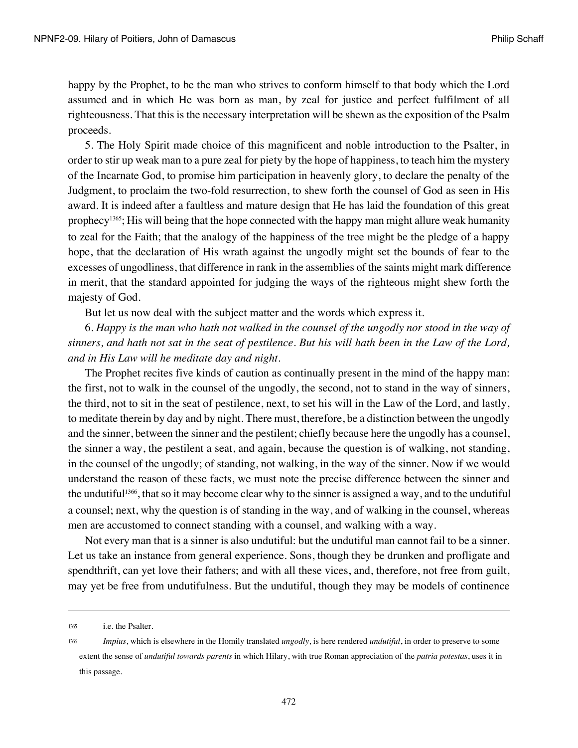happy by the Prophet, to be the man who strives to conform himself to that body which the Lord assumed and in which He was born as man, by zeal for justice and perfect fulfilment of all righteousness. That this is the necessary interpretation will be shewn as the exposition of the Psalm proceeds.

5. The Holy Spirit made choice of this magnificent and noble introduction to the Psalter, in order to stir up weak man to a pure zeal for piety by the hope of happiness, to teach him the mystery of the Incarnate God, to promise him participation in heavenly glory, to declare the penalty of the Judgment, to proclaim the two-fold resurrection, to shew forth the counsel of God as seen in His award. It is indeed after a faultless and mature design that He has laid the foundation of this great prophecy<sup>1365</sup>; His will being that the hope connected with the happy man might allure weak humanity to zeal for the Faith; that the analogy of the happiness of the tree might be the pledge of a happy hope, that the declaration of His wrath against the ungodly might set the bounds of fear to the excesses of ungodliness, that difference in rank in the assemblies of the saints might mark difference in merit, that the standard appointed for judging the ways of the righteous might shew forth the majesty of God.

But let us now deal with the subject matter and the words which express it.

6. *Happy is the man who hath not walked in the counsel of the ungodly nor stood in the way of sinners, and hath not sat in the seat of pestilence. But his will hath been in the Law of the Lord, and in His Law will he meditate day and night.*

The Prophet recites five kinds of caution as continually present in the mind of the happy man: the first, not to walk in the counsel of the ungodly, the second, not to stand in the way of sinners, the third, not to sit in the seat of pestilence, next, to set his will in the Law of the Lord, and lastly, to meditate therein by day and by night. There must, therefore, be a distinction between the ungodly and the sinner, between the sinner and the pestilent; chiefly because here the ungodly has a counsel, the sinner a way, the pestilent a seat, and again, because the question is of walking, not standing, in the counsel of the ungodly; of standing, not walking, in the way of the sinner. Now if we would understand the reason of these facts, we must note the precise difference between the sinner and the undutiful1366, that so it may become clear why to the sinner is assigned a way, and to the undutiful a counsel; next, why the question is of standing in the way, and of walking in the counsel, whereas men are accustomed to connect standing with a counsel, and walking with a way.

Not every man that is a sinner is also undutiful: but the undutiful man cannot fail to be a sinner. Let us take an instance from general experience. Sons, though they be drunken and profligate and spendthrift, can yet love their fathers; and with all these vices, and, therefore, not free from guilt, may yet be free from undutifulness. But the undutiful, though they may be models of continence

<sup>1365</sup> i.e. the Psalter.

<sup>1366</sup> *Impius*, which is elsewhere in the Homily translated *ungodly*, is here rendered *undutiful*, in order to preserve to some extent the sense of *undutiful towards parents* in which Hilary, with true Roman appreciation of the *patria potestas*, uses it in this passage.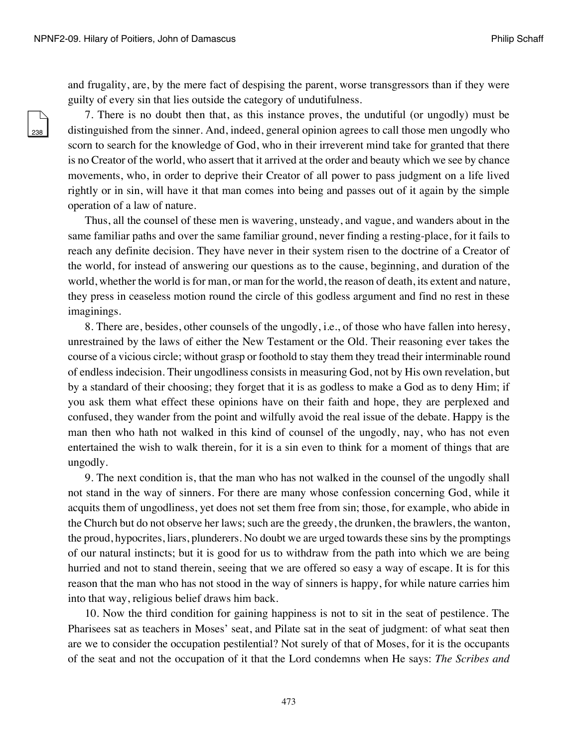and frugality, are, by the mere fact of despising the parent, worse transgressors than if they were guilty of every sin that lies outside the category of undutifulness.

7. There is no doubt then that, as this instance proves, the undutiful (or ungodly) must be distinguished from the sinner. And, indeed, general opinion agrees to call those men ungodly who scorn to search for the knowledge of God, who in their irreverent mind take for granted that there is no Creator of the world, who assert that it arrived at the order and beauty which we see by chance movements, who, in order to deprive their Creator of all power to pass judgment on a life lived rightly or in sin, will have it that man comes into being and passes out of it again by the simple operation of a law of nature.

Thus, all the counsel of these men is wavering, unsteady, and vague, and wanders about in the same familiar paths and over the same familiar ground, never finding a resting-place, for it fails to reach any definite decision. They have never in their system risen to the doctrine of a Creator of the world, for instead of answering our questions as to the cause, beginning, and duration of the world, whether the world is for man, or man for the world, the reason of death, its extent and nature, they press in ceaseless motion round the circle of this godless argument and find no rest in these imaginings.

8. There are, besides, other counsels of the ungodly, i.e., of those who have fallen into heresy, unrestrained by the laws of either the New Testament or the Old. Their reasoning ever takes the course of a vicious circle; without grasp or foothold to stay them they tread their interminable round of endless indecision. Their ungodliness consists in measuring God, not by His own revelation, but by a standard of their choosing; they forget that it is as godless to make a God as to deny Him; if you ask them what effect these opinions have on their faith and hope, they are perplexed and confused, they wander from the point and wilfully avoid the real issue of the debate. Happy is the man then who hath not walked in this kind of counsel of the ungodly, nay, who has not even entertained the wish to walk therein, for it is a sin even to think for a moment of things that are ungodly.

9. The next condition is, that the man who has not walked in the counsel of the ungodly shall not stand in the way of sinners. For there are many whose confession concerning God, while it acquits them of ungodliness, yet does not set them free from sin; those, for example, who abide in the Church but do not observe her laws; such are the greedy, the drunken, the brawlers, the wanton, the proud, hypocrites, liars, plunderers. No doubt we are urged towards these sins by the promptings of our natural instincts; but it is good for us to withdraw from the path into which we are being hurried and not to stand therein, seeing that we are offered so easy a way of escape. It is for this reason that the man who has not stood in the way of sinners is happy, for while nature carries him into that way, religious belief draws him back.

10. Now the third condition for gaining happiness is not to sit in the seat of pestilence. The Pharisees sat as teachers in Moses' seat, and Pilate sat in the seat of judgment: of what seat then are we to consider the occupation pestilential? Not surely of that of Moses, for it is the occupants of the seat and not the occupation of it that the Lord condemns when He says: *The Scribes and*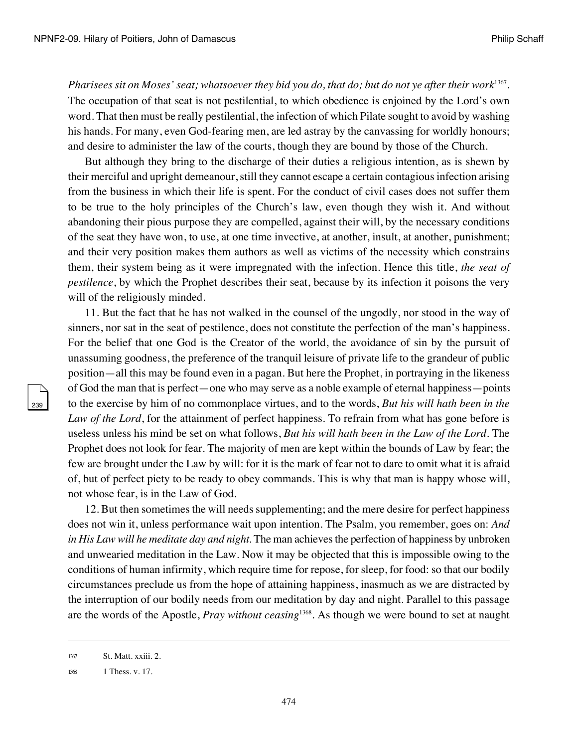*Pharisees sit on Moses' seat; whatsoever they bid you do, that do; but do not ye after their work*<sup>1367</sup>. The occupation of that seat is not pestilential, to which obedience is enjoined by the Lord's own word. That then must be really pestilential, the infection of which Pilate sought to avoid by washing his hands. For many, even God-fearing men, are led astray by the canvassing for worldly honours; and desire to administer the law of the courts, though they are bound by those of the Church.

But although they bring to the discharge of their duties a religious intention, as is shewn by their merciful and upright demeanour, still they cannot escape a certain contagious infection arising from the business in which their life is spent. For the conduct of civil cases does not suffer them to be true to the holy principles of the Church's law, even though they wish it. And without abandoning their pious purpose they are compelled, against their will, by the necessary conditions of the seat they have won, to use, at one time invective, at another, insult, at another, punishment; and their very position makes them authors as well as victims of the necessity which constrains them, their system being as it were impregnated with the infection. Hence this title, *the seat of pestilence*, by which the Prophet describes their seat, because by its infection it poisons the very will of the religiously minded.

11. But the fact that he has not walked in the counsel of the ungodly, nor stood in the way of sinners, nor sat in the seat of pestilence, does not constitute the perfection of the man's happiness. For the belief that one God is the Creator of the world, the avoidance of sin by the pursuit of unassuming goodness, the preference of the tranquil leisure of private life to the grandeur of public position—all this may be found even in a pagan. But here the Prophet, in portraying in the likeness of God the man that is perfect—one who may serve as a noble example of eternal happiness—points to the exercise by him of no commonplace virtues, and to the words, *But his will hath been in the Law of the Lord*, for the attainment of perfect happiness. To refrain from what has gone before is useless unless his mind be set on what follows, *But his will hath been in the Law of the Lord*. The Prophet does not look for fear. The majority of men are kept within the bounds of Law by fear; the few are brought under the Law by will: for it is the mark of fear not to dare to omit what it is afraid of, but of perfect piety to be ready to obey commands. This is why that man is happy whose will, not whose fear, is in the Law of God.

12. But then sometimes the will needs supplementing; and the mere desire for perfect happiness does not win it, unless performance wait upon intention. The Psalm, you remember, goes on: *And in His Law will he meditate day and night*. The man achieves the perfection of happiness by unbroken and unwearied meditation in the Law. Now it may be objected that this is impossible owing to the conditions of human infirmity, which require time for repose, for sleep, for food: so that our bodily circumstances preclude us from the hope of attaining happiness, inasmuch as we are distracted by the interruption of our bodily needs from our meditation by day and night. Parallel to this passage are the words of the Apostle, *Pray without ceasing*1368. As though we were bound to set at naught

<sup>1367</sup> St. [Matt. xxiii. 2](http://www.ccel.org/ccel/bible/asv.Matt.23.html#Matt.23.2).

<sup>1368</sup> [1 Thess. v. 17](http://www.ccel.org/ccel/bible/asv.iThess.5.html#iThess.5.17).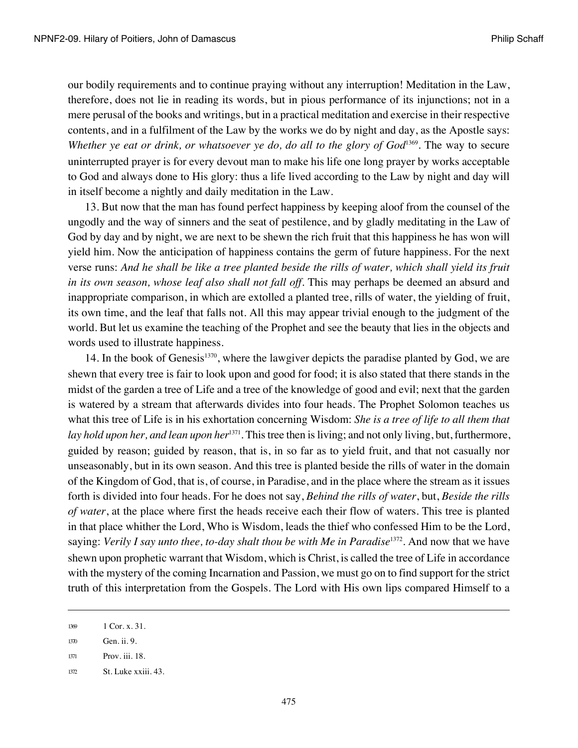our bodily requirements and to continue praying without any interruption! Meditation in the Law, therefore, does not lie in reading its words, but in pious performance of its injunctions; not in a mere perusal of the books and writings, but in a practical meditation and exercise in their respective contents, and in a fulfilment of the Law by the works we do by night and day, as the Apostle says: Whether ye eat or drink, or whatsoever ye do, do all to the glory of God<sup>1369</sup>. The way to secure uninterrupted prayer is for every devout man to make his life one long prayer by works acceptable to God and always done to His glory: thus a life lived according to the Law by night and day will in itself become a nightly and daily meditation in the Law.

13. But now that the man has found perfect happiness by keeping aloof from the counsel of the ungodly and the way of sinners and the seat of pestilence, and by gladly meditating in the Law of God by day and by night, we are next to be shewn the rich fruit that this happiness he has won will yield him. Now the anticipation of happiness contains the germ of future happiness. For the next verse runs: *And he shall be like a tree planted beside the rills of water, which shall yield its fruit in its own season, whose leaf also shall not fall off*. This may perhaps be deemed an absurd and inappropriate comparison, in which are extolled a planted tree, rills of water, the yielding of fruit, its own time, and the leaf that falls not. All this may appear trivial enough to the judgment of the world. But let us examine the teaching of the Prophet and see the beauty that lies in the objects and words used to illustrate happiness.

14. In the book of Genesis<sup>1370</sup>, where the lawgiver depicts the paradise planted by God, we are shewn that every tree is fair to look upon and good for food; it is also stated that there stands in the midst of the garden a tree of Life and a tree of the knowledge of good and evil; next that the garden is watered by a stream that afterwards divides into four heads. The Prophet Solomon teaches us what this tree of Life is in his exhortation concerning Wisdom: *She is a tree of life to all them that lay hold upon her, and lean upon her*<sup>1371</sup>. This tree then is living; and not only living, but, furthermore, guided by reason; guided by reason, that is, in so far as to yield fruit, and that not casually nor unseasonably, but in its own season. And this tree is planted beside the rills of water in the domain of the Kingdom of God, that is, of course, in Paradise, and in the place where the stream as it issues forth is divided into four heads. For he does not say, *Behind the rills of water*, but, *Beside the rills of water*, at the place where first the heads receive each their flow of waters. This tree is planted in that place whither the Lord, Who is Wisdom, leads the thief who confessed Him to be the Lord, saying: *Verily I say unto thee, to-day shalt thou be with Me in Paradise*<sup>1372</sup>. And now that we have shewn upon prophetic warrant that Wisdom, which is Christ, is called the tree of Life in accordance with the mystery of the coming Incarnation and Passion, we must go on to find support for the strict truth of this interpretation from the Gospels. The Lord with His own lips compared Himself to a

<sup>1371</sup> [Prov. iii. 18.](http://www.ccel.org/ccel/bible/asv.Prov.3.html#Prov.3.18)

<sup>1369</sup> [1 Cor. x. 31.](http://www.ccel.org/ccel/bible/asv.iCor.10.html#iCor.10.31)

<sup>1370</sup> [Gen. ii. 9.](http://www.ccel.org/ccel/bible/asv.Gen.2.html#Gen.2.9)

<sup>1372</sup> St. [Luke xxiii. 43.](http://www.ccel.org/ccel/bible/asv.Luke.23.html#Luke.23.43)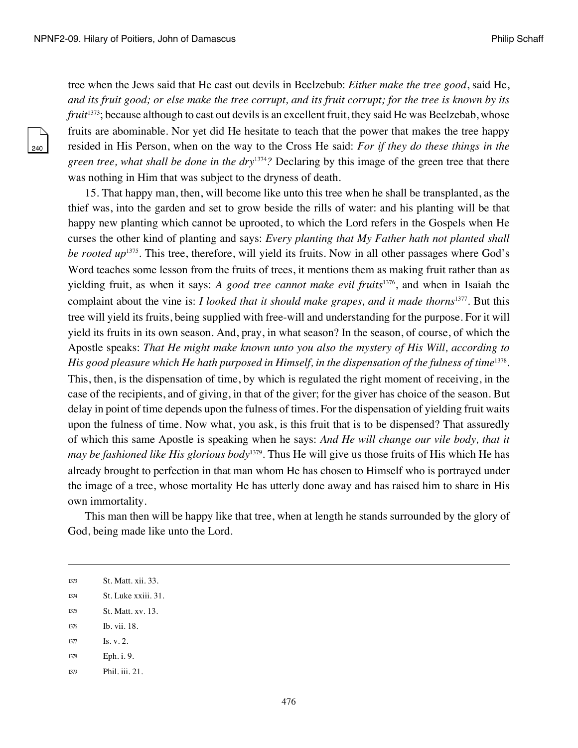tree when the Jews said that He cast out devils in Beelzebub: *Either make the tree good*, said He, *and its fruit good; or else make the tree corrupt, and its fruit corrupt; for the tree is known by its fruit*1373; because although to cast out devils is an excellent fruit, they said He was Beelzebab, whose fruits are abominable. Nor yet did He hesitate to teach that the power that makes the tree happy resided in His Person, when on the way to the Cross He said: *For if they do these things in the green tree, what shall be done in the dry*1374*?* Declaring by this image of the green tree that there was nothing in Him that was subject to the dryness of death.

15. That happy man, then, will become like unto this tree when he shall be transplanted, as the thief was, into the garden and set to grow beside the rills of water: and his planting will be that happy new planting which cannot be uprooted, to which the Lord refers in the Gospels when He curses the other kind of planting and says: *Every planting that My Father hath not planted shall be rooted up*1375. This tree, therefore, will yield its fruits. Now in all other passages where God's Word teaches some lesson from the fruits of trees, it mentions them as making fruit rather than as yielding fruit, as when it says: *A good tree cannot make evil fruits*1376, and when in Isaiah the complaint about the vine is: *I looked that it should make grapes, and it made thorns*1377. But this tree will yield its fruits, being supplied with free-will and understanding for the purpose. For it will yield its fruits in its own season. And, pray, in what season? In the season, of course, of which the Apostle speaks: *That He might make known unto you also the mystery of His Will, according to His good pleasure which He hath purposed in Himself, in the dispensation of the fulness of time*1378. This, then, is the dispensation of time, by which is regulated the right moment of receiving, in the case of the recipients, and of giving, in that of the giver; for the giver has choice of the season. But delay in point of time depends upon the fulness of times. For the dispensation of yielding fruit waits upon the fulness of time. Now what, you ask, is this fruit that is to be dispensed? That assuredly of which this same Apostle is speaking when he says: *And He will change our vile body, that it may be fashioned like His glorious body*1379. Thus He will give us those fruits of His which He has

already brought to perfection in that man whom He has chosen to Himself who is portrayed under the image of a tree, whose mortality He has utterly done away and has raised him to share in His own immortality.

This man then will be happy like that tree, when at length he stands surrounded by the glory of God, being made like unto the Lord.

- 1375 St. [Matt. xv. 13](http://www.ccel.org/ccel/bible/asv.Matt.15.html#Matt.15.13).
- 1376 [Ib. vii. 18](http://www.ccel.org/ccel/bible/asv.Matt.7.html#Matt.7.18).
- $1377$  [Is. v. 2.](http://www.ccel.org/ccel/bible/asv.Isa.5.html#Isa.5.2)
- <sup>1378</sup> [Eph. i. 9.](http://www.ccel.org/ccel/bible/asv.Eph.1.html#Eph.1.9)
- <sup>1379</sup> [Phil. iii. 21](http://www.ccel.org/ccel/bible/asv.Phil.3.html#Phil.3.21).

<sup>1373</sup> St. [Matt. xii. 33.](http://www.ccel.org/ccel/bible/asv.Matt.12.html#Matt.12.33)

<sup>1374</sup> St. [Luke xxiii. 31.](http://www.ccel.org/ccel/bible/asv.Luke.23.html#Luke.23.31)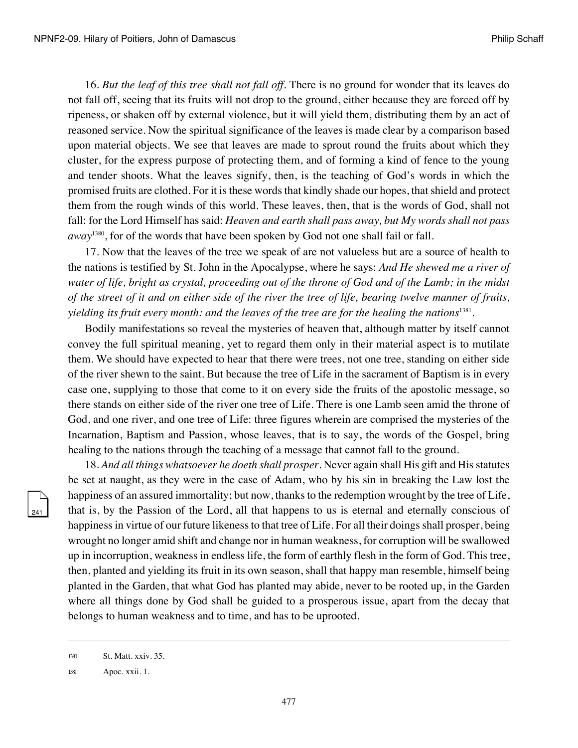16. *But the leaf of this tree shall not fall off*. There is no ground for wonder that its leaves do not fall off, seeing that its fruits will not drop to the ground, either because they are forced off by ripeness, or shaken off by external violence, but it will yield them, distributing them by an act of reasoned service. Now the spiritual significance of the leaves is made clear by a comparison based upon material objects. We see that leaves are made to sprout round the fruits about which they cluster, for the express purpose of protecting them, and of forming a kind of fence to the young and tender shoots. What the leaves signify, then, is the teaching of God's words in which the promised fruits are clothed. For it is these words that kindly shade our hopes, that shield and protect them from the rough winds of this world. These leaves, then, that is the words of God, shall not fall: for the Lord Himself has said: *Heaven and earth shall pass away, but My words shall not pass away*1380, for of the words that have been spoken by God not one shall fail or fall.

17. Now that the leaves of the tree we speak of are not valueless but are a source of health to the nations is testified by St. John in the Apocalypse, where he says: *And He shewed me a river of water of life, bright as crystal, proceeding out of the throne of God and of the Lamb; in the midst of the street of it and on either side of the river the tree of life, bearing twelve manner of fruits, yielding its fruit every month: and the leaves of the tree are for the healing the nations*1381.

Bodily manifestations so reveal the mysteries of heaven that, although matter by itself cannot convey the full spiritual meaning, yet to regard them only in their material aspect is to mutilate them. We should have expected to hear that there were trees, not one tree, standing on either side of the river shewn to the saint. But because the tree of Life in the sacrament of Baptism is in every case one, supplying to those that come to it on every side the fruits of the apostolic message, so there stands on either side of the river one tree of Life. There is one Lamb seen amid the throne of God, and one river, and one tree of Life: three figures wherein are comprised the mysteries of the Incarnation, Baptism and Passion, whose leaves, that is to say, the words of the Gospel, bring healing to the nations through the teaching of a message that cannot fall to the ground.

18. *And all things whatsoever he doeth shall prosper*. Never again shall His gift and His statutes be set at naught, as they were in the case of Adam, who by his sin in breaking the Law lost the happiness of an assured immortality; but now, thanks to the redemption wrought by the tree of Life, that is, by the Passion of the Lord, all that happens to us is eternal and eternally conscious of happiness in virtue of our future likeness to that tree of Life. For all their doings shall prosper, being wrought no longer amid shift and change nor in human weakness, for corruption will be swallowed up in incorruption, weakness in endless life, the form of earthly flesh in the form of God. This tree, then, planted and yielding its fruit in its own season, shall that happy man resemble, himself being planted in the Garden, that what God has planted may abide, never to be rooted up, in the Garden where all things done by God shall be guided to a prosperous issue, apart from the decay that belongs to human weakness and to time, and has to be uprooted.

<sup>1380</sup> St. [Matt. xxiv. 35](http://www.ccel.org/ccel/bible/asv.Matt.24.html#Matt.24.35).

<sup>1381</sup> [Apoc. xxii. 1](http://www.ccel.org/ccel/bible/asv.Rev.22.html#Rev.22.1).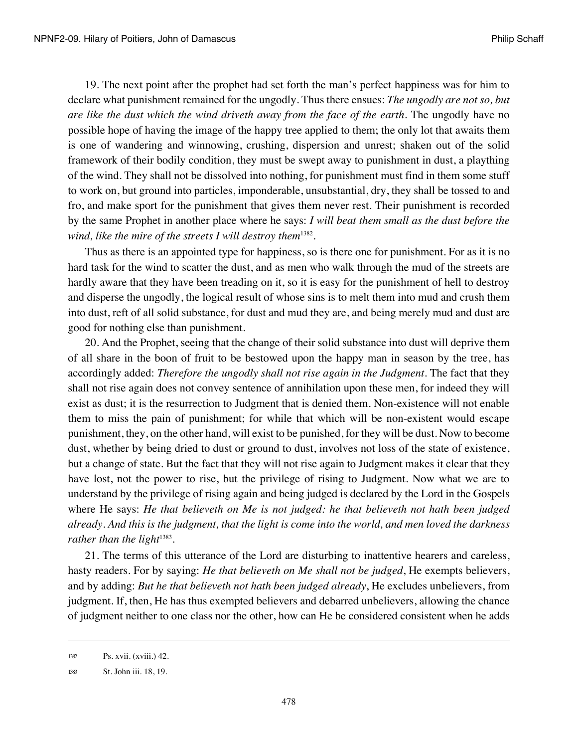19. The next point after the prophet had set forth the man's perfect happiness was for him to declare what punishment remained for the ungodly. Thus there ensues: *The ungodly are not so, but are like the dust which the wind driveth away from the face of the earth*. The ungodly have no possible hope of having the image of the happy tree applied to them; the only lot that awaits them is one of wandering and winnowing, crushing, dispersion and unrest; shaken out of the solid framework of their bodily condition, they must be swept away to punishment in dust, a plaything of the wind. They shall not be dissolved into nothing, for punishment must find in them some stuff to work on, but ground into particles, imponderable, unsubstantial, dry, they shall be tossed to and fro, and make sport for the punishment that gives them never rest. Their punishment is recorded by the same Prophet in another place where he says: *I will beat them small as the dust before the* wind, like the mire of the streets I will destroy them<sup>1382</sup>.

Thus as there is an appointed type for happiness, so is there one for punishment. For as it is no hard task for the wind to scatter the dust, and as men who walk through the mud of the streets are hardly aware that they have been treading on it, so it is easy for the punishment of hell to destroy and disperse the ungodly, the logical result of whose sins is to melt them into mud and crush them into dust, reft of all solid substance, for dust and mud they are, and being merely mud and dust are good for nothing else than punishment.

20. And the Prophet, seeing that the change of their solid substance into dust will deprive them of all share in the boon of fruit to be bestowed upon the happy man in season by the tree, has accordingly added: *Therefore the ungodly shall not rise again in the Judgment*. The fact that they shall not rise again does not convey sentence of annihilation upon these men, for indeed they will exist as dust; it is the resurrection to Judgment that is denied them. Non-existence will not enable them to miss the pain of punishment; for while that which will be non-existent would escape punishment, they, on the other hand, will exist to be punished, for they will be dust. Now to become dust, whether by being dried to dust or ground to dust, involves not loss of the state of existence, but a change of state. But the fact that they will not rise again to Judgment makes it clear that they have lost, not the power to rise, but the privilege of rising to Judgment. Now what we are to understand by the privilege of rising again and being judged is declared by the Lord in the Gospels where He says: *He that believeth on Me is not judged: he that believeth not hath been judged already. And this is the judgment, that the light is come into the world, and men loved the darkness rather than the light*<sup>1383</sup>.

21. The terms of this utterance of the Lord are disturbing to inattentive hearers and careless, hasty readers. For by saying: *He that believeth on Me shall not be judged*, He exempts believers, and by adding: *But he that believeth not hath been judged already*, He excludes unbelievers, from judgment. If, then, He has thus exempted believers and debarred unbelievers, allowing the chance of judgment neither to one class nor the other, how can He be considered consistent when he adds

<sup>1382</sup> [Ps. xvii. \(xviii.\) 42.](http://www.ccel.org/ccel/bible/asv.Ps.18.html#Ps.18.42)

<sup>1383</sup> St. [John iii. 18, 19.](http://www.ccel.org/ccel/bible/asv.John.3.html#John.3.18)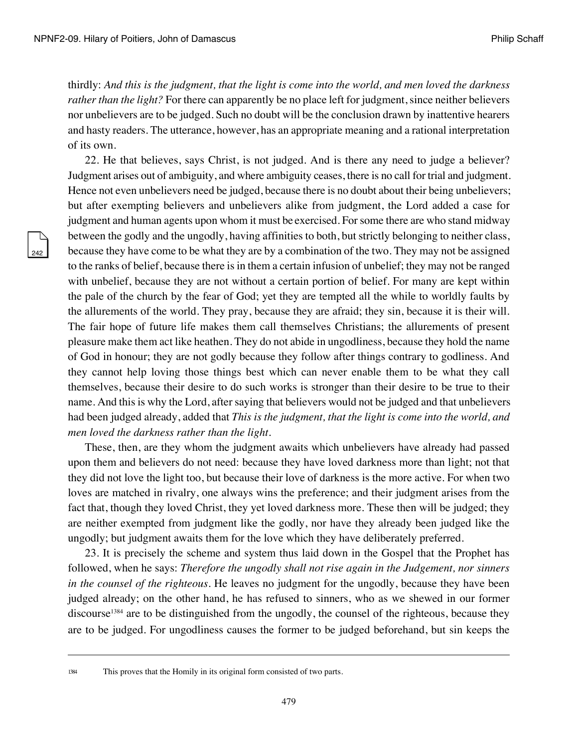thirdly: *And this is the judgment, that the light is come into the world, and men loved the darkness rather than the light?* For there can apparently be no place left for judgment, since neither believers nor unbelievers are to be judged. Such no doubt will be the conclusion drawn by inattentive hearers and hasty readers. The utterance, however, has an appropriate meaning and a rational interpretation of its own.

22. He that believes, says Christ, is not judged. And is there any need to judge a believer? Judgment arises out of ambiguity, and where ambiguity ceases, there is no call for trial and judgment. Hence not even unbelievers need be judged, because there is no doubt about their being unbelievers; but after exempting believers and unbelievers alike from judgment, the Lord added a case for judgment and human agents upon whom it must be exercised. For some there are who stand midway between the godly and the ungodly, having affinities to both, but strictly belonging to neither class, because they have come to be what they are by a combination of the two. They may not be assigned to the ranks of belief, because there is in them a certain infusion of unbelief; they may not be ranged with unbelief, because they are not without a certain portion of belief. For many are kept within the pale of the church by the fear of God; yet they are tempted all the while to worldly faults by the allurements of the world. They pray, because they are afraid; they sin, because it is their will. The fair hope of future life makes them call themselves Christians; the allurements of present pleasure make them act like heathen. They do not abide in ungodliness, because they hold the name of God in honour; they are not godly because they follow after things contrary to godliness. And they cannot help loving those things best which can never enable them to be what they call themselves, because their desire to do such works is stronger than their desire to be true to their name. And this is why the Lord, after saying that believers would not be judged and that unbelievers had been judged already, added that *This is the judgment, that the light is come into the world, and men loved the darkness rather than the light.*

These, then, are they whom the judgment awaits which unbelievers have already had passed upon them and believers do not need: because they have loved darkness more than light; not that they did not love the light too, but because their love of darkness is the more active. For when two loves are matched in rivalry, one always wins the preference; and their judgment arises from the fact that, though they loved Christ, they yet loved darkness more. These then will be judged; they are neither exempted from judgment like the godly, nor have they already been judged like the ungodly; but judgment awaits them for the love which they have deliberately preferred.

23. It is precisely the scheme and system thus laid down in the Gospel that the Prophet has followed, when he says: *Therefore the ungodly shall not rise again in the Judgement, nor sinners in the counsel of the righteous*. He leaves no judgment for the ungodly, because they have been judged already; on the other hand, he has refused to sinners, who as we shewed in our former discourse<sup>1384</sup> are to be distinguished from the ungodly, the counsel of the righteous, because they are to be judged. For ungodliness causes the former to be judged beforehand, but sin keeps the

<sup>1384</sup> This proves that the Homily in its original form consisted of two parts.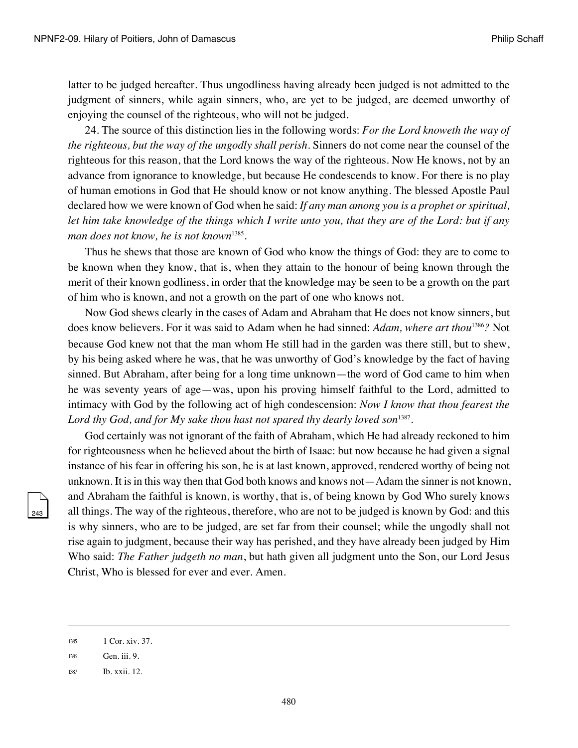latter to be judged hereafter. Thus ungodliness having already been judged is not admitted to the judgment of sinners, while again sinners, who, are yet to be judged, are deemed unworthy of enjoying the counsel of the righteous, who will not be judged.

24. The source of this distinction lies in the following words: *For the Lord knoweth the way of the righteous, but the way of the ungodly shall perish*. Sinners do not come near the counsel of the righteous for this reason, that the Lord knows the way of the righteous. Now He knows, not by an advance from ignorance to knowledge, but because He condescends to know. For there is no play of human emotions in God that He should know or not know anything. The blessed Apostle Paul declared how we were known of God when he said: *If any man among you is a prophet or spiritual, let him take knowledge of the things which I write unto you, that they are of the Lord: but if any man does not know, he is not known*1385.

Thus he shews that those are known of God who know the things of God: they are to come to be known when they know, that is, when they attain to the honour of being known through the merit of their known godliness, in order that the knowledge may be seen to be a growth on the part of him who is known, and not a growth on the part of one who knows not.

Now God shews clearly in the cases of Adam and Abraham that He does not know sinners, but does know believers. For it was said to Adam when he had sinned: *Adam, where art thou*1386*?* Not because God knew not that the man whom He still had in the garden was there still, but to shew, by his being asked where he was, that he was unworthy of God's knowledge by the fact of having sinned. But Abraham, after being for a long time unknown—the word of God came to him when he was seventy years of age—was, upon his proving himself faithful to the Lord, admitted to intimacy with God by the following act of high condescension: *Now I know that thou fearest the* Lord thy God, and for My sake thou hast not spared thy dearly loved son<sup>1387</sup>.

God certainly was not ignorant of the faith of Abraham, which He had already reckoned to him for righteousness when he believed about the birth of Isaac: but now because he had given a signal instance of his fear in offering his son, he is at last known, approved, rendered worthy of being not unknown. It is in this way then that God both knows and knows not—Adam the sinner is not known, and Abraham the faithful is known, is worthy, that is, of being known by God Who surely knows all things. The way of the righteous, therefore, who are not to be judged is known by God: and this is why sinners, who are to be judged, are set far from their counsel; while the ungodly shall not rise again to judgment, because their way has perished, and they have already been judged by Him Who said: *The Father judgeth no man*, but hath given all judgment unto the Son, our Lord Jesus Christ, Who is blessed for ever and ever. Amen.

<sub>ጋ/3</sub>

<sup>1385</sup> [1 Cor. xiv. 37.](http://www.ccel.org/ccel/bible/asv.iCor.14.html#iCor.14.37)

<sup>1386</sup> [Gen. iii. 9](http://www.ccel.org/ccel/bible/asv.Gen.3.html#Gen.3.9).

<sup>1387</sup> [Ib. xxii. 12.](http://www.ccel.org/ccel/bible/asv.Gen.22.html#Gen.22.12)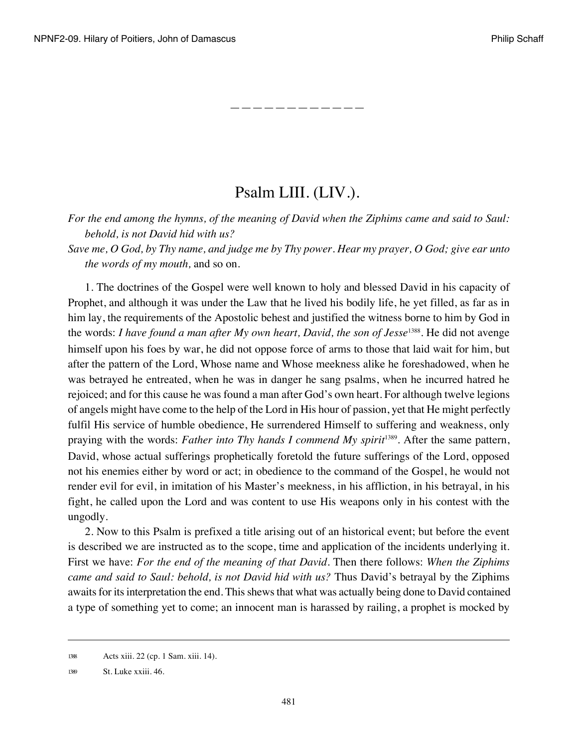## Psalm LIII. (LIV.).

————————————

*For the end among the hymns, of the meaning of David when the Ziphims came and said to Saul: behold, is not David hid with us?*

*Save me, O God, by Thy name, and judge me by Thy power. Hear my prayer, O God; give ear unto the words of my mouth,* and so on.

1. The doctrines of the Gospel were well known to holy and blessed David in his capacity of Prophet, and although it was under the Law that he lived his bodily life, he yet filled, as far as in him lay, the requirements of the Apostolic behest and justified the witness borne to him by God in the words: *I have found a man after My own heart, David, the son of Jesse*1388. He did not avenge himself upon his foes by war, he did not oppose force of arms to those that laid wait for him, but after the pattern of the Lord, Whose name and Whose meekness alike he foreshadowed, when he was betrayed he entreated, when he was in danger he sang psalms, when he incurred hatred he rejoiced; and for this cause he was found a man after God's own heart. For although twelve legions of angels might have come to the help of the Lord in His hour of passion, yet that He might perfectly fulfil His service of humble obedience, He surrendered Himself to suffering and weakness, only praying with the words: *Father into Thy hands I commend My spirit*1389. After the same pattern, David, whose actual sufferings prophetically foretold the future sufferings of the Lord, opposed not his enemies either by word or act; in obedience to the command of the Gospel, he would not render evil for evil, in imitation of his Master's meekness, in his affliction, in his betrayal, in his fight, he called upon the Lord and was content to use His weapons only in his contest with the ungodly.

2. Now to this Psalm is prefixed a title arising out of an historical event; but before the event is described we are instructed as to the scope, time and application of the incidents underlying it. First we have: *For the end of the meaning of that David*. Then there follows: *When the Ziphims came and said to Saul: behold, is not David hid with us?* Thus David's betrayal by the Ziphims awaits for its interpretation the end. This shews that what was actually being done to David contained a type of something yet to come; an innocent man is harassed by railing, a prophet is mocked by

<sup>1388</sup> Acts xiii. 22 (cp. 1 Sam. xiii. 14).

<sup>1389</sup> St. [Luke xxiii. 46.](http://www.ccel.org/ccel/bible/asv.Luke.23.html#Luke.23.46)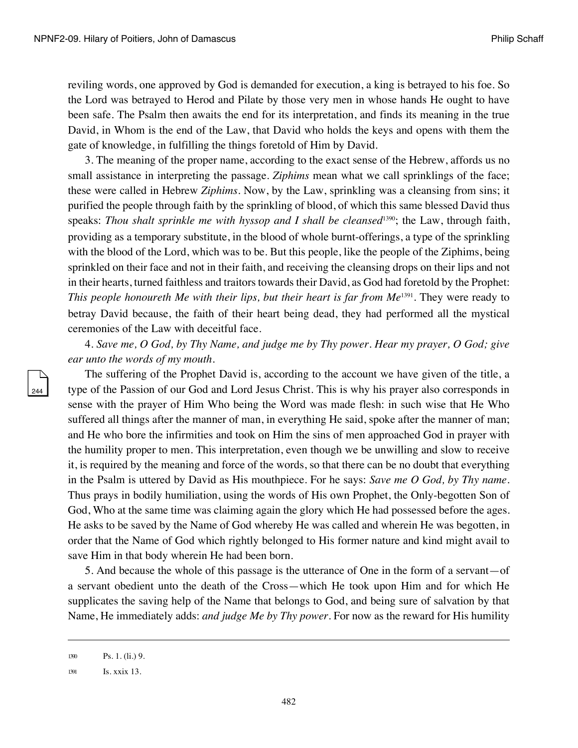reviling words, one approved by God is demanded for execution, a king is betrayed to his foe. So the Lord was betrayed to Herod and Pilate by those very men in whose hands He ought to have been safe. The Psalm then awaits the end for its interpretation, and finds its meaning in the true David, in Whom is the end of the Law, that David who holds the keys and opens with them the gate of knowledge, in fulfilling the things foretold of Him by David.

3. The meaning of the proper name, according to the exact sense of the Hebrew, affords us no small assistance in interpreting the passage. *Ziphims* mean what we call sprinklings of the face; these were called in Hebrew *Ziphims*. Now, by the Law, sprinkling was a cleansing from sins; it purified the people through faith by the sprinkling of blood, of which this same blessed David thus speaks: *Thou shalt sprinkle me with hyssop and I shall be cleansed*<sup>1390</sup>; the Law, through faith, providing as a temporary substitute, in the blood of whole burnt-offerings, a type of the sprinkling with the blood of the Lord, which was to be. But this people, like the people of the Ziphims, being sprinkled on their face and not in their faith, and receiving the cleansing drops on their lips and not in their hearts, turned faithless and traitors towards their David, as God had foretold by the Prophet: *This people honoureth Me with their lips, but their heart is far from Me*<sup>1391</sup>. They were ready to betray David because, the faith of their heart being dead, they had performed all the mystical ceremonies of the Law with deceitful face.

4. *Save me, O God, by Thy Name, and judge me by Thy power. Hear my prayer, O God; give ear unto the words of my mouth.*

The suffering of the Prophet David is, according to the account we have given of the title, a type of the Passion of our God and Lord Jesus Christ. This is why his prayer also corresponds in sense with the prayer of Him Who being the Word was made flesh: in such wise that He Who suffered all things after the manner of man, in everything He said, spoke after the manner of man; and He who bore the infirmities and took on Him the sins of men approached God in prayer with the humility proper to men. This interpretation, even though we be unwilling and slow to receive it, is required by the meaning and force of the words, so that there can be no doubt that everything in the Psalm is uttered by David as His mouthpiece. For he says: *Save me O God, by Thy name*. Thus prays in bodily humiliation, using the words of His own Prophet, the Only-begotten Son of God, Who at the same time was claiming again the glory which He had possessed before the ages. He asks to be saved by the Name of God whereby He was called and wherein He was begotten, in order that the Name of God which rightly belonged to His former nature and kind might avail to save Him in that body wherein He had been born.

5. And because the whole of this passage is the utterance of One in the form of a servant—of a servant obedient unto the death of the Cross—which He took upon Him and for which He supplicates the saving help of the Name that belongs to God, and being sure of salvation by that Name, He immediately adds: *and judge Me by Thy power*. For now as the reward for His humility

<sup>1390</sup> [Ps. 1. \(li.\) 9](http://www.ccel.org/ccel/bible/asv.Ps.51.html#Ps.51.9).

<sup>1391</sup> [Is. xxix 13](http://www.ccel.org/ccel/bible/asv.Isa.29.html#Isa.29.13).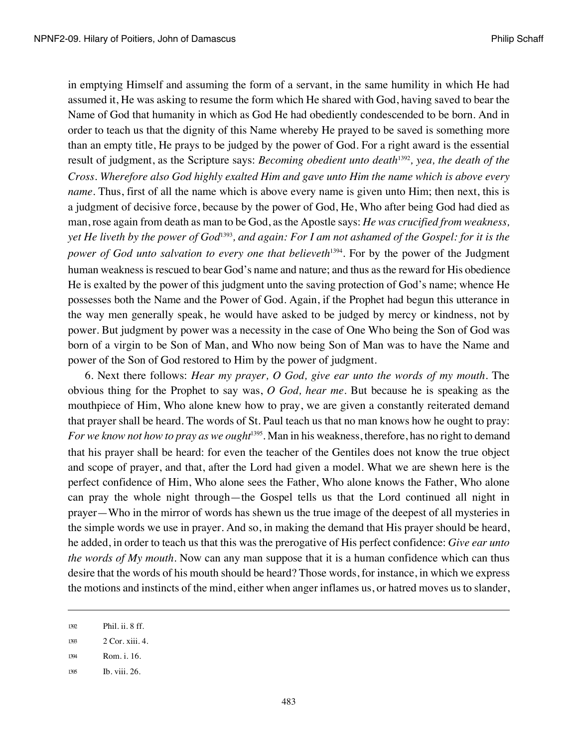in emptying Himself and assuming the form of a servant, in the same humility in which He had assumed it, He was asking to resume the form which He shared with God, having saved to bear the Name of God that humanity in which as God He had obediently condescended to be born. And in order to teach us that the dignity of this Name whereby He prayed to be saved is something more than an empty title, He prays to be judged by the power of God. For a right award is the essential result of judgment, as the Scripture says: *Becoming obedient unto death*1392*, yea, the death of the Cross. Wherefore also God highly exalted Him and gave unto Him the name which is above every name*. Thus, first of all the name which is above every name is given unto Him; then next, this is a judgment of decisive force, because by the power of God, He, Who after being God had died as man, rose again from death as man to be God, as the Apostle says: *He was crucified from weakness, yet He liveth by the power of God*1393*, and again: For I am not ashamed of the Gospel: for it is the power of God unto salvation to every one that believeth*<sup>1394</sup>. For by the power of the Judgment human weakness is rescued to bear God's name and nature; and thus as the reward for His obedience He is exalted by the power of this judgment unto the saving protection of God's name; whence He possesses both the Name and the Power of God. Again, if the Prophet had begun this utterance in the way men generally speak, he would have asked to be judged by mercy or kindness, not by power. But judgment by power was a necessity in the case of One Who being the Son of God was born of a virgin to be Son of Man, and Who now being Son of Man was to have the Name and power of the Son of God restored to Him by the power of judgment.

6. Next there follows: *Hear my prayer, O God, give ear unto the words of my mouth*. The obvious thing for the Prophet to say was, *O God, hear me*. But because he is speaking as the mouthpiece of Him, Who alone knew how to pray, we are given a constantly reiterated demand that prayer shall be heard. The words of St. Paul teach us that no man knows how he ought to pray: *For we know not how to pray as we ought*<sup>1395</sup>. Man in his weakness, therefore, has no right to demand that his prayer shall be heard: for even the teacher of the Gentiles does not know the true object and scope of prayer, and that, after the Lord had given a model. What we are shewn here is the perfect confidence of Him, Who alone sees the Father, Who alone knows the Father, Who alone can pray the whole night through—the Gospel tells us that the Lord continued all night in prayer—Who in the mirror of words has shewn us the true image of the deepest of all mysteries in the simple words we use in prayer. And so, in making the demand that His prayer should be heard, he added, in order to teach us that this was the prerogative of His perfect confidence: *Give ear unto the words of My mouth*. Now can any man suppose that it is a human confidence which can thus desire that the words of his mouth should be heard? Those words, for instance, in which we express the motions and instincts of the mind, either when anger inflames us, or hatred moves us to slander,

<sup>1392</sup> [Phil. ii. 8](http://www.ccel.org/ccel/bible/asv.Phil.2.html#Phil.2.8) ff.

<sup>1393</sup> [2 Cor. xiii. 4.](http://www.ccel.org/ccel/bible/asv.iiCor.13.html#iiCor.13.4)

<sup>1394</sup> [Rom. i. 16](http://www.ccel.org/ccel/bible/asv.Rom.1.html#Rom.1.16).

<sup>1395</sup> [Ib. viii. 26.](http://www.ccel.org/ccel/bible/asv.Rom.8.html#Rom.8.26)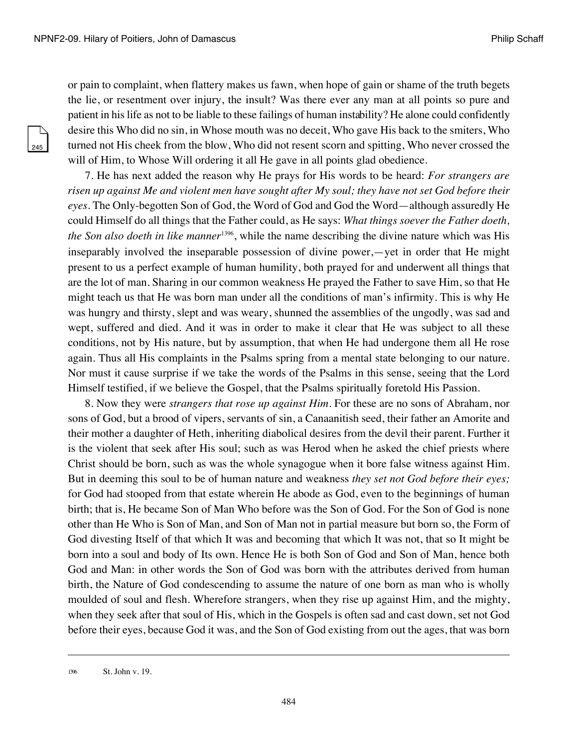or pain to complaint, when flattery makes us fawn, when hope of gain or shame of the truth begets the lie, or resentment over injury, the insult? Was there ever any man at all points so pure and patient in his life as not to be liable to these failings of human instability? He alone could confidently desire this Who did no sin, in Whose mouth was no deceit, Who gave His back to the smiters, Who turned not His cheek from the blow, Who did not resent scorn and spitting, Who never crossed the will of Him, to Whose Will ordering it all He gave in all points glad obedience.

7. He has next added the reason why He prays for His words to be heard: *For strangers are risen up against Me and violent men have sought after My soul; they have not set God before their eyes*. The Only-begotten Son of God, the Word of God and God the Word—although assuredly He could Himself do all things that the Father could, as He says: *What things soever the Father doeth, the Son also doeth in like manner*1396, while the name describing the divine nature which was His inseparably involved the inseparable possession of divine power,—yet in order that He might present to us a perfect example of human humility, both prayed for and underwent all things that are the lot of man. Sharing in our common weakness He prayed the Father to save Him, so that He might teach us that He was born man under all the conditions of man's infirmity. This is why He was hungry and thirsty, slept and was weary, shunned the assemblies of the ungodly, was sad and wept, suffered and died. And it was in order to make it clear that He was subject to all these conditions, not by His nature, but by assumption, that when He had undergone them all He rose again. Thus all His complaints in the Psalms spring from a mental state belonging to our nature. Nor must it cause surprise if we take the words of the Psalms in this sense, seeing that the Lord Himself testified, if we believe the Gospel, that the Psalms spiritually foretold His Passion.

8. Now they were *strangers that rose up against Him*. For these are no sons of Abraham, nor sons of God, but a brood of vipers, servants of sin, a Canaanitish seed, their father an Amorite and their mother a daughter of Heth, inheriting diabolical desires from the devil their parent. Further it is the violent that seek after His soul; such as was Herod when he asked the chief priests where Christ should be born, such as was the whole synagogue when it bore false witness against Him. But in deeming this soul to be of human nature and weakness *they set not God before their eyes;* for God had stooped from that estate wherein He abode as God, even to the beginnings of human birth; that is, He became Son of Man Who before was the Son of God. For the Son of God is none other than He Who is Son of Man, and Son of Man not in partial measure but born so, the Form of God divesting Itself of that which It was and becoming that which It was not, that so It might be born into a soul and body of Its own. Hence He is both Son of God and Son of Man, hence both God and Man: in other words the Son of God was born with the attributes derived from human birth, the Nature of God condescending to assume the nature of one born as man who is wholly moulded of soul and flesh. Wherefore strangers, when they rise up against Him, and the mighty, when they seek after that soul of His, which in the Gospels is often sad and cast down, set not God before their eyes, because God it was, and the Son of God existing from out the ages, that was born

<sup>1396</sup> St. [John v. 19](http://www.ccel.org/ccel/bible/asv.John.5.html#John.5.19).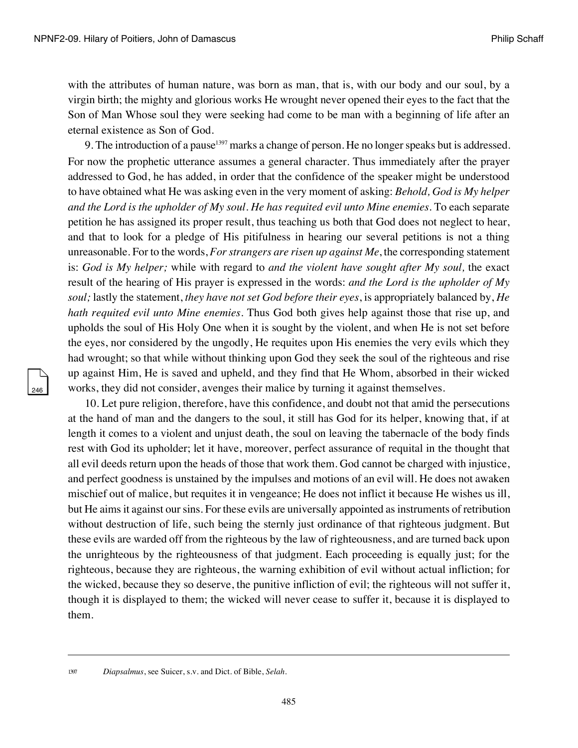with the attributes of human nature, was born as man, that is, with our body and our soul, by a virgin birth; the mighty and glorious works He wrought never opened their eyes to the fact that the Son of Man Whose soul they were seeking had come to be man with a beginning of life after an eternal existence as Son of God.

9. The introduction of a pause<sup>1397</sup> marks a change of person. He no longer speaks but is addressed. For now the prophetic utterance assumes a general character. Thus immediately after the prayer addressed to God, he has added, in order that the confidence of the speaker might be understood to have obtained what He was asking even in the very moment of asking: *Behold, God is My helper and the Lord is the upholder of My soul. He has requited evil unto Mine enemies*. To each separate petition he has assigned its proper result, thus teaching us both that God does not neglect to hear, and that to look for a pledge of His pitifulness in hearing our several petitions is not a thing unreasonable. For to the words, *For strangers are risen up against Me*, the corresponding statement is: *God is My helper;* while with regard to *and the violent have sought after My soul,* the exact result of the hearing of His prayer is expressed in the words: *and the Lord is the upholder of My soul;* lastly the statement, *they have not set God before their eyes*, is appropriately balanced by, *He hath requited evil unto Mine enemies*. Thus God both gives help against those that rise up, and upholds the soul of His Holy One when it is sought by the violent, and when He is not set before the eyes, nor considered by the ungodly, He requites upon His enemies the very evils which they had wrought; so that while without thinking upon God they seek the soul of the righteous and rise up against Him, He is saved and upheld, and they find that He Whom, absorbed in their wicked works, they did not consider, avenges their malice by turning it against themselves.

10. Let pure religion, therefore, have this confidence, and doubt not that amid the persecutions at the hand of man and the dangers to the soul, it still has God for its helper, knowing that, if at length it comes to a violent and unjust death, the soul on leaving the tabernacle of the body finds rest with God its upholder; let it have, moreover, perfect assurance of requital in the thought that all evil deeds return upon the heads of those that work them. God cannot be charged with injustice, and perfect goodness is unstained by the impulses and motions of an evil will. He does not awaken mischief out of malice, but requites it in vengeance; He does not inflict it because He wishes us ill, but He aims it against our sins. For these evils are universally appointed as instruments of retribution without destruction of life, such being the sternly just ordinance of that righteous judgment. But these evils are warded off from the righteous by the law of righteousness, and are turned back upon the unrighteous by the righteousness of that judgment. Each proceeding is equally just; for the righteous, because they are righteous, the warning exhibition of evil without actual infliction; for the wicked, because they so deserve, the punitive infliction of evil; the righteous will not suffer it, though it is displayed to them; the wicked will never cease to suffer it, because it is displayed to them.

<sup>1397</sup> *Diapsalmus*, see Suicer, s.v. and Dict. of Bible, *Selah*.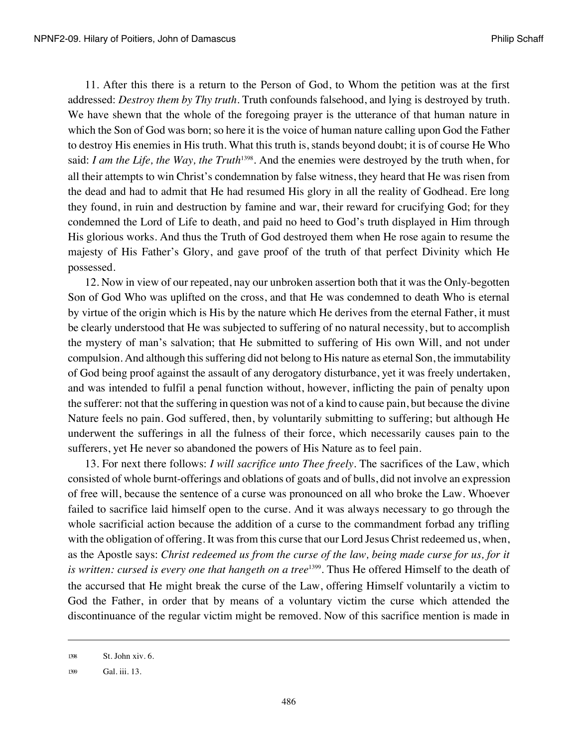11. After this there is a return to the Person of God, to Whom the petition was at the first addressed: *Destroy them by Thy truth*. Truth confounds falsehood, and lying is destroyed by truth. We have shewn that the whole of the foregoing prayer is the utterance of that human nature in which the Son of God was born; so here it is the voice of human nature calling upon God the Father to destroy His enemies in His truth. What this truth is, stands beyond doubt; it is of course He Who said: *I am the Life, the Way, the Truth*1398. And the enemies were destroyed by the truth when, for all their attempts to win Christ's condemnation by false witness, they heard that He was risen from the dead and had to admit that He had resumed His glory in all the reality of Godhead. Ere long they found, in ruin and destruction by famine and war, their reward for crucifying God; for they condemned the Lord of Life to death, and paid no heed to God's truth displayed in Him through His glorious works. And thus the Truth of God destroyed them when He rose again to resume the majesty of His Father's Glory, and gave proof of the truth of that perfect Divinity which He possessed.

12. Now in view of our repeated, nay our unbroken assertion both that it was the Only-begotten Son of God Who was uplifted on the cross, and that He was condemned to death Who is eternal by virtue of the origin which is His by the nature which He derives from the eternal Father, it must be clearly understood that He was subjected to suffering of no natural necessity, but to accomplish the mystery of man's salvation; that He submitted to suffering of His own Will, and not under compulsion. And although this suffering did not belong to His nature as eternal Son, the immutability of God being proof against the assault of any derogatory disturbance, yet it was freely undertaken, and was intended to fulfil a penal function without, however, inflicting the pain of penalty upon the sufferer: not that the suffering in question was not of a kind to cause pain, but because the divine Nature feels no pain. God suffered, then, by voluntarily submitting to suffering; but although He underwent the sufferings in all the fulness of their force, which necessarily causes pain to the sufferers, yet He never so abandoned the powers of His Nature as to feel pain.

13. For next there follows: *I will sacrifice unto Thee freely*. The sacrifices of the Law, which consisted of whole burnt-offerings and oblations of goats and of bulls, did not involve an expression of free will, because the sentence of a curse was pronounced on all who broke the Law. Whoever failed to sacrifice laid himself open to the curse. And it was always necessary to go through the whole sacrificial action because the addition of a curse to the commandment forbad any trifling with the obligation of offering. It was from this curse that our Lord Jesus Christ redeemed us, when, as the Apostle says: *Christ redeemed us from the curse of the law, being made curse for us, for it is written: cursed is every one that hangeth on a tree<sup>1399</sup>*. Thus He offered Himself to the death of the accursed that He might break the curse of the Law, offering Himself voluntarily a victim to God the Father, in order that by means of a voluntary victim the curse which attended the discontinuance of the regular victim might be removed. Now of this sacrifice mention is made in

<sup>1398</sup> St. [John xiv. 6.](http://www.ccel.org/ccel/bible/asv.John.14.html#John.14.6)

<sup>1399</sup> [Gal. iii. 13.](http://www.ccel.org/ccel/bible/asv.Gal.3.html#Gal.3.13)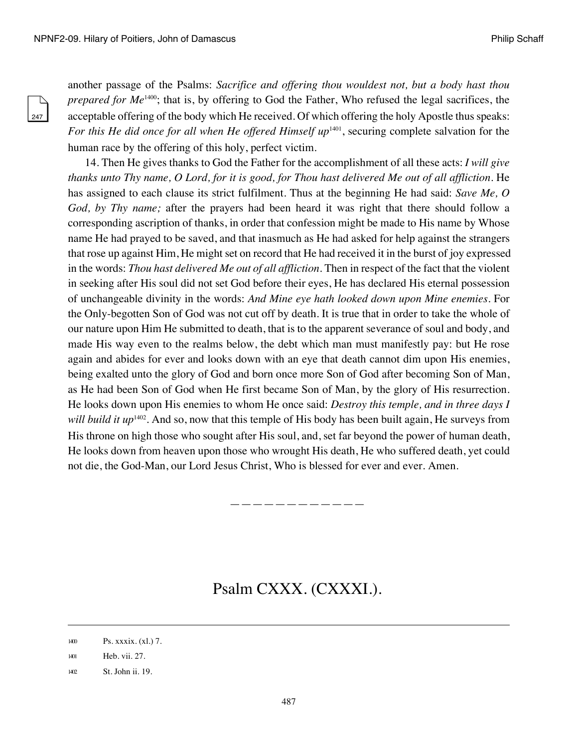another passage of the Psalms: *Sacrifice and offering thou wouldest not, but a body hast thou prepared for Me*<sup>1400</sup>; that is, by offering to God the Father, Who refused the legal sacrifices, the acceptable offering of the body which He received. Of which offering the holy Apostle thus speaks: *For this He did once for all when He offered Himself up*<sup>1401</sup>, securing complete salvation for the human race by the offering of this holy, perfect victim.

14. Then He gives thanks to God the Father for the accomplishment of all these acts: *I will give thanks unto Thy name, O Lord, for it is good, for Thou hast delivered Me out of all affliction*. He has assigned to each clause its strict fulfilment. Thus at the beginning He had said: *Save Me, O God, by Thy name;* after the prayers had been heard it was right that there should follow a corresponding ascription of thanks, in order that confession might be made to His name by Whose name He had prayed to be saved, and that inasmuch as He had asked for help against the strangers that rose up against Him, He might set on record that He had received it in the burst of joy expressed in the words: *Thou hast delivered Me out of all affliction*. Then in respect of the fact that the violent in seeking after His soul did not set God before their eyes, He has declared His eternal possession of unchangeable divinity in the words: *And Mine eye hath looked down upon Mine enemies.* For the Only-begotten Son of God was not cut off by death. It is true that in order to take the whole of our nature upon Him He submitted to death, that is to the apparent severance of soul and body, and made His way even to the realms below, the debt which man must manifestly pay: but He rose again and abides for ever and looks down with an eye that death cannot dim upon His enemies, being exalted unto the glory of God and born once more Son of God after becoming Son of Man, as He had been Son of God when He first became Son of Man, by the glory of His resurrection. He looks down upon His enemies to whom He once said: *Destroy this temple, and in three days I will build it up*<sup>1402</sup>. And so, now that this temple of His body has been built again, He surveys from His throne on high those who sought after His soul, and, set far beyond the power of human death, He looks down from heaven upon those who wrought His death, He who suffered death, yet could not die, the God-Man, our Lord Jesus Christ, Who is blessed for ever and ever. Amen.

#### Psalm CXXX. (CXXXI.).

————————————

<sup>1400</sup> [Ps. xxxix. \(xl.\) 7](http://www.ccel.org/ccel/bible/asv.Ps.40.html#Ps.40.7).

<sup>1401</sup> [Heb. vii. 27.](http://www.ccel.org/ccel/bible/asv.Heb.7.html#Heb.7.27)

<sup>1402</sup> St. [John ii. 19.](http://www.ccel.org/ccel/bible/asv.John.2.html#John.2.19)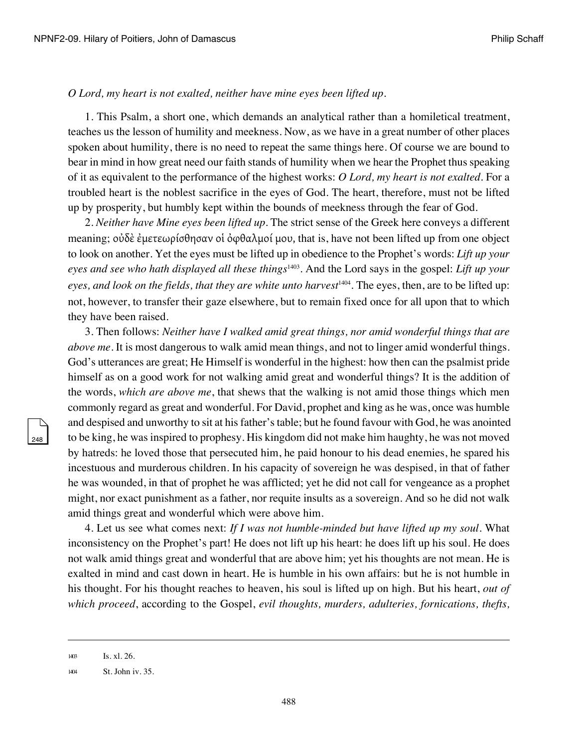#### *O Lord, my heart is not exalted, neither have mine eyes been lifted up.*

1. This Psalm, a short one, which demands an analytical rather than a homiletical treatment, teaches us the lesson of humility and meekness. Now, as we have in a great number of other places spoken about humility, there is no need to repeat the same things here. Of course we are bound to bear in mind in how great need our faith stands of humility when we hear the Prophet thus speaking of it as equivalent to the performance of the highest works: *O Lord, my heart is not exalted*. For a troubled heart is the noblest sacrifice in the eyes of God. The heart, therefore, must not be lifted up by prosperity, but humbly kept within the bounds of meekness through the fear of God.

2. *Neither have Mine eyes been lifted up*. The strict sense of the Greek here conveys a different meaning; οὐδὲ ἐμετεωρίσθησαν οἱ ὀφθαλμοί μου, that is, have not been lifted up from one object to look on another. Yet the eyes must be lifted up in obedience to the Prophet's words: *Lift up your eyes and see who hath displayed all these things*1403. And the Lord says in the gospel: *Lift up your eyes, and look on the fields, that they are white unto harvest*<sup>1404</sup>. The eyes, then, are to be lifted up: not, however, to transfer their gaze elsewhere, but to remain fixed once for all upon that to which they have been raised.

3. Then follows: *Neither have I walked amid great things, nor amid wonderful things that are above me*. It is most dangerous to walk amid mean things, and not to linger amid wonderful things. God's utterances are great; He Himself is wonderful in the highest: how then can the psalmist pride himself as on a good work for not walking amid great and wonderful things? It is the addition of the words, *which are above me*, that shews that the walking is not amid those things which men commonly regard as great and wonderful. For David, prophet and king as he was, once was humble and despised and unworthy to sit at his father's table; but he found favour with God, he was anointed to be king, he was inspired to prophesy. His kingdom did not make him haughty, he was not moved by hatreds: he loved those that persecuted him, he paid honour to his dead enemies, he spared his incestuous and murderous children. In his capacity of sovereign he was despised, in that of father he was wounded, in that of prophet he was afflicted; yet he did not call for vengeance as a prophet might, nor exact punishment as a father, nor requite insults as a sovereign. And so he did not walk amid things great and wonderful which were above him.

4. Let us see what comes next: *If I was not humble-minded but have lifted up my soul*. What inconsistency on the Prophet's part! He does not lift up his heart: he does lift up his soul. He does not walk amid things great and wonderful that are above him; yet his thoughts are not mean. He is exalted in mind and cast down in heart. He is humble in his own affairs: but he is not humble in his thought. For his thought reaches to heaven, his soul is lifted up on high. But his heart, *out of which proceed*, according to the Gospel, *evil thoughts, murders, adulteries, fornications, thefts,*

<sup>1403</sup> [Is. xl. 26.](http://www.ccel.org/ccel/bible/asv.Isa.40.html#Isa.40.26)

<sup>1404</sup> St. [John iv. 35.](http://www.ccel.org/ccel/bible/asv.John.4.html#John.4.35)